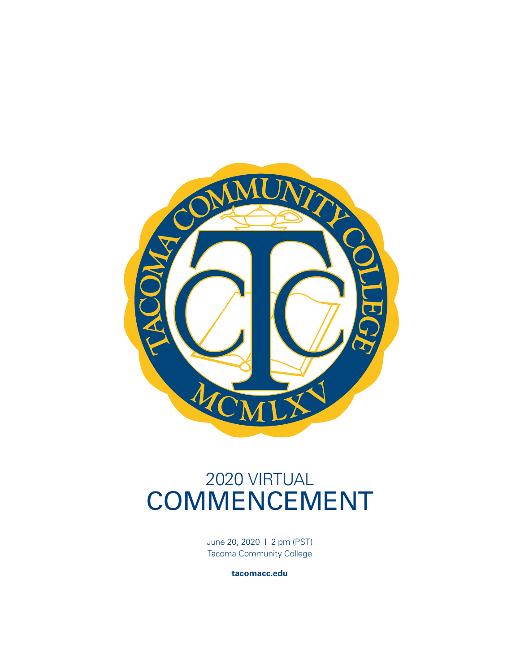

# 2020 VIRTUAL COMMENCEMENT

June 20, 2020 I 2 pm (PST) Tacoma Community College

**tacomacc.edu**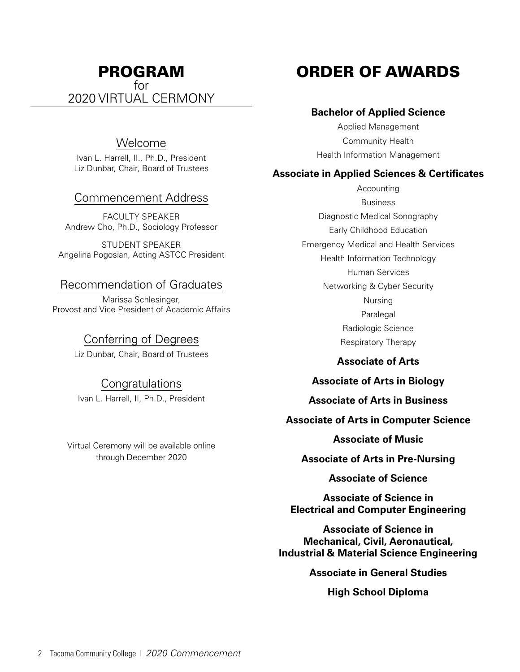## PROGRAM for 2020 VIRTUAL CERMONY

#### Welcome

Ivan L. Harrell, II., Ph.D., President Liz Dunbar, Chair, Board of Trustees

#### Commencement Address

FACULTY SPEAKER Andrew Cho, Ph.D., Sociology Professor

STUDENT SPEAKER Angelina Pogosian, Acting ASTCC President

#### Recommendation of Graduates

Marissa Schlesinger, Provost and Vice President of Academic Affairs

#### Conferring of Degrees

Liz Dunbar, Chair, Board of Trustees

#### **Congratulations**

Ivan L. Harrell, II, Ph.D., President

Virtual Ceremony will be available online through December 2020

# ORDER OF AWARDS

#### **Bachelor of Applied Science**

Applied Management Community Health Health Information Management

#### **Associate in Applied Sciences & Certificates**

Accounting Business Diagnostic Medical Sonography Early Childhood Education Emergency Medical and Health Services Health Information Technology Human Services Networking & Cyber Security Nursing Paralegal Radiologic Science Respiratory Therapy

#### **Associate of Arts**

#### **Associate of Arts in Biology**

**Associate of Arts in Business**

#### **Associate of Arts in Computer Science**

**Associate of Music**

**Associate of Arts in Pre-Nursing**

**Associate of Science**

**Associate of Science in Electrical and Computer Engineering**

**Associate of Science in Mechanical, Civil, Aeronautical, Industrial & Material Science Engineering**

**Associate in General Studies**

**High School Diploma**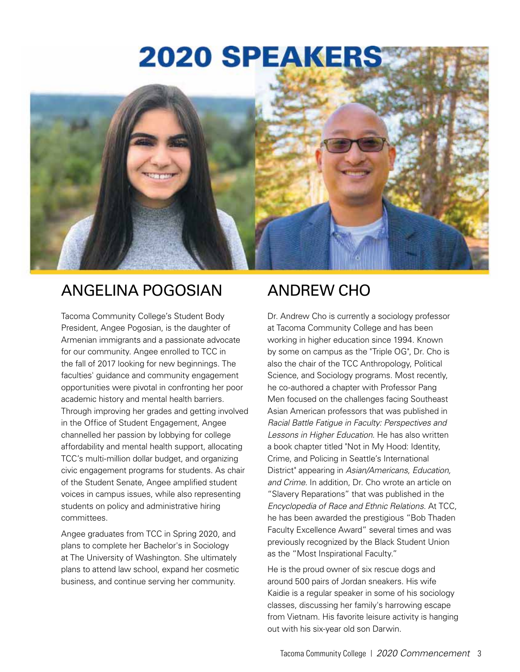# **2020 SPEAKERS**



# ANGELINA POGOSIAN

Tacoma Community College's Student Body President, Angee Pogosian, is the daughter of Armenian immigrants and a passionate advocate for our community. Angee enrolled to TCC in the fall of 2017 looking for new beginnings. The faculties' guidance and community engagement opportunities were pivotal in confronting her poor academic history and mental health barriers. Through improving her grades and getting involved in the Office of Student Engagement, Angee channelled her passion by lobbying for college affordability and mental health support, allocating TCC's multi-million dollar budget, and organizing civic engagement programs for students. As chair of the Student Senate, Angee amplified student voices in campus issues, while also representing students on policy and administrative hiring committees.

Angee graduates from TCC in Spring 2020, and plans to complete her Bachelor's in Sociology at The University of Washington. She ultimately plans to attend law school, expand her cosmetic business, and continue serving her community.

# ANDREW CHO

Dr. Andrew Cho is currently a sociology professor at Tacoma Community College and has been working in higher education since 1994. Known by some on campus as the "Triple OG", Dr. Cho is also the chair of the TCC Anthropology, Political Science, and Sociology programs. Most recently, he co-authored a chapter with Professor Pang Men focused on the challenges facing Southeast Asian American professors that was published in *Racial Battle Fatigue in Faculty: Perspectives and Lessons in Higher Education*. He has also written a book chapter titled "Not in My Hood: Identity, Crime, and Policing in Seattle's International District" appearing in *Asian/Americans, Education, and Crime*. In addition, Dr. Cho wrote an article on "Slavery Reparations" that was published in the *Encyclopedia of Race and Ethnic Relations*. At TCC, he has been awarded the prestigious "Bob Thaden Faculty Excellence Award" several times and was previously recognized by the Black Student Union as the "Most Inspirational Faculty."

He is the proud owner of six rescue dogs and around 500 pairs of Jordan sneakers. His wife Kaidie is a regular speaker in some of his sociology classes, discussing her family's harrowing escape from Vietnam. His favorite leisure activity is hanging out with his six-year old son Darwin.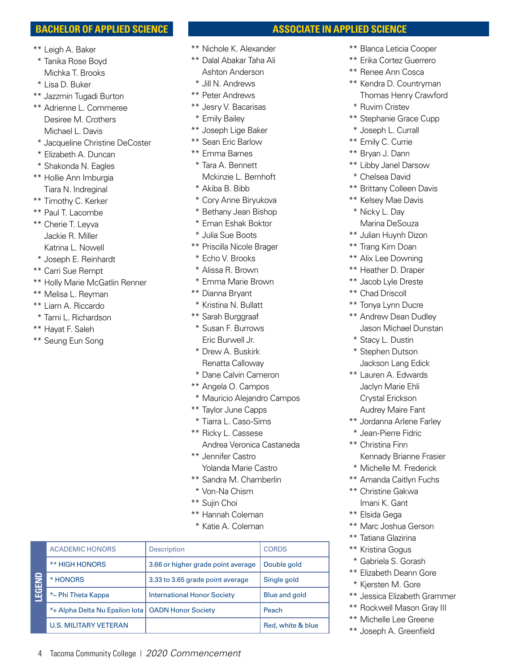#### **BACHELOR OF APPLIED SCIENCE**

- \*\* Leigh A. Baker
- \* Tanika Rose Boyd Michka T. Brooks
- \* Lisa D. Buker
- \*\* Jazzmin Tugadi Burton
- \*\* Adrienne L. Commeree Desiree M. Crothers Michael L. Davis
- \* Jacqueline Christine DeCoster
- \* Elizabeth A. Duncan
- \* Shakonda N. Eagles
- \*\* Hollie Ann Imburgia Tiara N. Indreginal
- \*\* Timothy C. Kerker
- \*\* Paul T. Lacombe
- \*\* Cherie T. Leyva Jackie R. Miller Katrina L. Nowell
- \* Joseph E. Reinhardt
- \*\* Carri Sue Rempt
- \*\* Holly Marie McGatlin Renner
- \*\* Melisa L. Reyman
- \*\* Liam A. Riccardo
- \* Tami L. Richardson
- \*\* Hayat F. Saleh
- \*\* Seung Eun Song
- \*\* Nichole K. Alexander
- \*\* Dalal Abakar Taha Ali Ashton Anderson
- \* Jill N. Andrews
- \*\* Peter Andrews
- \*\* Jesry V. Bacarisas
- \* Emily Bailey
- \*\* Joseph Lige Baker
- \*\* Sean Eric Barlow
- \*\* Emma Barnes
- \* Tara A. Bennett Mckinzie L. Bernhoft
- \* Akiba B. Bibb
- \* Cory Anne Biryukova
- \* Bethany Jean Bishop
- \* Eman Eshak Boktor
- \* Julia Sue Boots
- \*\* Priscilla Nicole Brager
- \* Echo V. Brooks
- \* Alissa R. Brown
- \* Emma Marie Brown
- \*\* Dianna Bryant
- \* Kristina N. Bullatt
- \*\* Sarah Burggraaf
- \* Susan F. Burrows Eric Burwell Jr.
- \* Drew A. Buskirk Renatta Calloway
- \* Dane Calvin Cameron
- \*\* Angela O. Campos
- \* Mauricio Alejandro Campos
- \*\* Taylor June Capps
- \* Tiarra L. Caso-Sims
- \*\* Ricky L. Cassese Andrea Veronica Castaneda
- \*\* Jennifer Castro Yolanda Marie Castro
- \*\* Sandra M. Chamberlin
- \* Von-Na Chism
- \*\* Sujin Choi
- \*\* Hannah Coleman
- \* Katie A. Coleman

| 을<br>园品 | <b>ACADEMIC HONORS</b>                              | <b>Description</b>                 | <b>CORDS</b>      |
|---------|-----------------------------------------------------|------------------------------------|-------------------|
|         | <b>** HIGH HONORS</b>                               | 3.66 or higher grade point average | Double gold       |
|         | * HONORS                                            | 3.33 to 3.65 grade point average   | Single gold       |
|         | *~ Phi Theta Kappa                                  | <b>International Honor Society</b> | Blue and gold     |
|         | *+ Alpha Delta Nu Epsilon lota   OADN Honor Society |                                    | Peach             |
|         | <b>U.S. MILITARY VETERAN</b>                        |                                    | Red, white & blue |

4 Tacoma Community College | *2020 Commencement*

# **ASSOCIATE IN APPLIED SCIENCE**

- \*\* Blanca Leticia Cooper
- \*\* Erika Cortez Guerrero
- \*\* Renee Ann Cosca
- \*\* Kendra D. Countryman Thomas Henry Crawford
- \* Ruvim Cristev
- \*\* Stephanie Grace Cupp
- \* Joseph L. Currall
- \*\* Emily C. Currie
- \*\* Bryan J. Dann
- \*\* Libby Janel Darsow
- \* Chelsea David
- \*\* Brittany Colleen Davis
- \*\* Kelsey Mae Davis
- \* Nicky L. Day Marina DeSouza
- \*\* Julian Huynh Dizon
- \*\* Trang Kim Doan
- \*\* Alix Lee Downing
- \*\* Heather D. Draper
- \*\* Jacob Lyle Dreste
- \*\* Chad Driscoll
- \*\* Tonya Lynn Ducre
- \*\* Andrew Dean Dudley Jason Michael Dunstan
- \* Stacy L. Dustin
- \* Stephen Dutson Jackson Lang Edick
- \*\* Lauren A. Edwards Jaclyn Marie Ehli Crystal Erickson Audrey Maire Fant
- \*\* Jordanna Arlene Farley
- \* Jean-Pierre Fidric
- \*\* Christina Finn Kennady Brianne Frasier
- \* Michelle M. Frederick
- \*\* Amanda Caitlyn Fuchs
- \*\* Christine Gakwa Imani K. Gant
- \*\* Elsida Gega
- \*\* Marc Joshua Gerson
- \*\* Tatiana Glazirina
- \*\* Kristina Gogus
- \* Gabriela S. Gorash
- \*\* Elizabeth Deann Gore
- \* Kjersten M. Gore
- \*\* Jessica Elizabeth Grammer
- \*\* Rockwell Mason Gray III
- \*\* Michelle Lee Greene \*\* Joseph A. Greenfield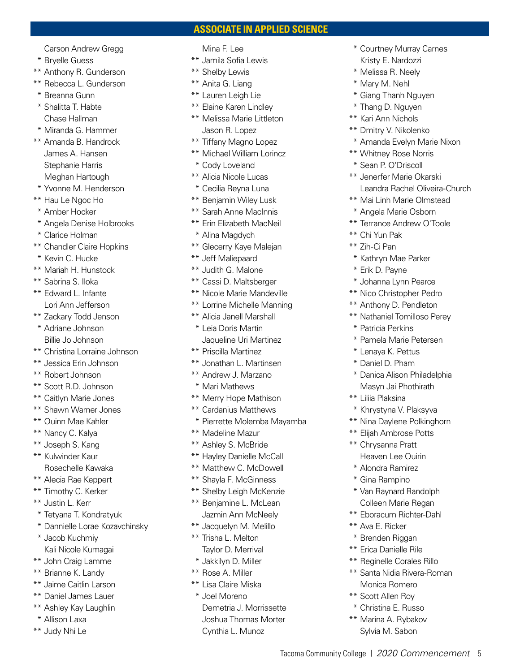#### **ASSOCIATE IN APPLIED SCIENCE**

Carson Andrew Gregg

- \* Bryelle Guess
- \*\* Anthony R. Gunderson
- \*\* Rebecca L. Gunderson
- \* Breanna Gunn
- \* Shalitta T. Habte Chase Hallman
- \* Miranda G. Hammer
- \*\* Amanda B. Handrock James A. Hansen Stephanie Harris Meghan Hartough
- \* Yvonne M. Henderson
- \*\* Hau Le Ngoc Ho
- \* Amber Hocker
- \* Angela Denise Holbrooks
- \* Clarice Holman
- \*\* Chandler Claire Hopkins
- \* Kevin C. Hucke
- \*\* Mariah H. Hunstock
- \*\* Sabrina S. Iloka
- \*\* Edward L. Infante Lori Ann Jefferson
- \*\* Zackary Todd Jenson
- \* Adriane Johnson Billie Jo Johnson
- \*\* Christina Lorraine Johnson
- \*\* Jessica Erin Johnson
- \*\* Robert Johnson
- \*\* Scott R.D. Johnson
- \*\* Caitlyn Marie Jones
- \*\* Shawn Warner Jones
- \*\* Quinn Mae Kahler
- \*\* Nancy C. Kalya
- \*\* Joseph S. Kang \*\* Kulwinder Kaur
- Rosechelle Kawaka
- \*\* Alecia Rae Keppert
- \*\* Timothy C. Kerker
- \*\* Justin L. Kerr
- \* Tetyana T. Kondratyuk
- \* Dannielle Lorae Kozavchinsky
- \* Jacob Kuchmiy Kali Nicole Kumagai
- \*\* John Craig Lamme
- \*\* Brianne K. Landy
- \*\* Jaime Caitlin Larson
- \*\* Daniel James Lauer
- \*\* Ashley Kay Laughlin
- \* Allison Laxa
- \*\* Judy Nhi Le

#### Mina F. Lee

- \*\* Jamila Sofia Lewis
- \*\* Shelby Lewis
- \*\* Anita G. Liang
- \*\* Lauren Leigh Lie
- \*\* Elaine Karen Lindley
- \*\* Melissa Marie Littleton Jason R. Lopez
- \*\* Tiffany Magno Lopez
- \*\* Michael William Lorincz
- \* Cody Loveland
- \*\* Alicia Nicole Lucas
- \* Cecilia Reyna Luna
- \*\* Benjamin Wiley Lusk
- \*\* Sarah Anne MacInnis
- \*\* Erin Elizabeth MacNeil
- \* Alina Magdych
- \*\* Glecerry Kaye Malejan
- \*\* Jeff Maliepaard
- \*\* Judith G. Malone
- \*\* Cassi D. Maltsberger
- \*\* Nicole Marie Mandeville
- \*\* Lorrine Michelle Manning
- \*\* Alicia Janell Marshall
- \* Leia Doris Martin Jaqueline Uri Martinez
- \*\* Priscilla Martinez
- \*\* Jonathan L. Martinsen
- \*\* Andrew J. Marzano
- \* Mari Mathews
- \*\* Merry Hope Mathison
- \*\* Cardanius Matthews
- \* Pierrette Molemba Mayamba
- \*\* Madeline Mazur
- \*\* Ashley S. McBride
- \*\* Hayley Danielle McCall
- \*\* Matthew C. McDowell
- \*\* Shayla F. McGinness
- \*\* Shelby Leigh McKenzie
- \*\* Benjamine L. McLean Jazmin Ann McNeely
- \*\* Jacquelyn M. Melillo
- \*\* Trisha L. Melton Taylor D. Merrival
- \* Jakkilyn D. Miller
- \*\* Rose A. Miller
- \*\* Lisa Claire Miska
- \* Joel Moreno Demetria J. Morrissette Joshua Thomas Morter Cynthia L. Munoz
- \* Courtney Murray Carnes Kristy E. Nardozzi
- \* Melissa R. Neely
- \* Mary M. Nehl
- \* Giang Thanh Nguyen
- \* Thang D. Nguyen
- \*\* Kari Ann Nichols
- \*\* Dmitry V. Nikolenko
- \* Amanda Evelyn Marie Nixon
- \*\* Whitney Rose Norris
- \* Sean P. O'Driscoll

\*\* Chi Yun Pak \*\* Zih-Ci Pan

Tacoma Community College | *2020 Commencement* 5

- \*\* Jenerfer Marie Okarski Leandra Rachel Oliveira-Church
- \*\* Mai Linh Marie Olmstead \* Angela Marie Osborn

\*\* Terrance Andrew O'Toole

\* Kathryn Mae Parker \* Erik D. Payne

\* Johanna Lynn Pearce \*\* Nico Christopher Pedro \*\* Anthony D. Pendleton \*\* Nathaniel Tomilloso Perey

\* Pamela Marie Petersen \* Lenaya K. Pettus \* Daniel D. Pham

\* Danica Alison Philadelphia Masyn Jai Phothirath

\* Khrystyna V. Plaksyva \*\* Nina Daylene Polkinghorn \*\* Elijah Ambrose Potts \*\* Chrysanna Pratt Heaven Lee Quirin \* Alondra Ramirez \* Gina Rampino

\* Van Raynard Randolph Colleen Marie Regan \*\* Eboracum Richter-Dahl

\*\* Ava E. Ricker \* Brenden Riggan \*\* Erica Danielle Rile \*\* Reginelle Corales Rillo \*\* Santa Nidia Rivera-Roman Monica Romero \*\* Scott Allen Roy \* Christina E. Russo \*\* Marina A. Rybakov Sylvia M. Sabon

\* Patricia Perkins

\*\* Liliia Plaksina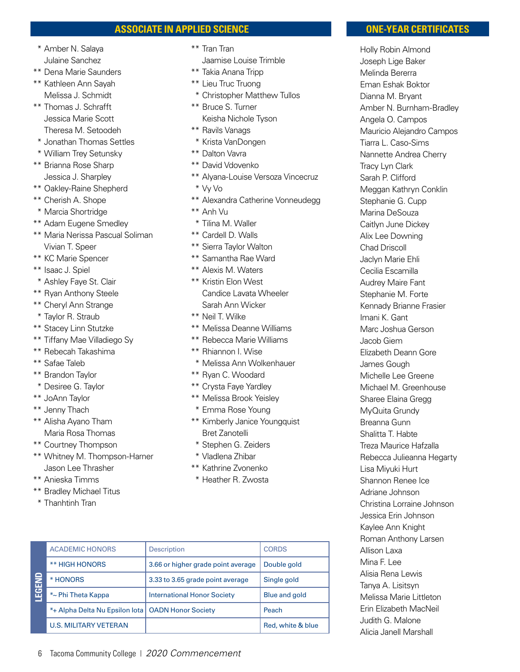#### **ASSOCIATE IN APPLIED SCIENCE**

- \* Amber N. Salaya Julaine Sanchez
- \*\* Dena Marie Saunders
- \*\* Kathleen Ann Sayah Melissa J. Schmidt
- \*\* Thomas J. Schrafft Jessica Marie Scott Theresa M. Setoodeh
- \* Jonathan Thomas Settles
- \* William Trey Setunsky
- \*\* Brianna Rose Sharp Jessica J. Sharpley
- \*\* Oakley-Raine Shepherd
- \*\* Cherish A. Shope
- \* Marcia Shortridge
- \*\* Adam Eugene Smedley
- \*\* Maria Nerissa Pascual Soliman Vivian T. Speer
- \*\* KC Marie Spencer
- \*\* Isaac J. Spiel
- \* Ashley Faye St. Clair
- \*\* Ryan Anthony Steele
- \*\* Cheryl Ann Strange
- \* Taylor R. Straub
- \*\* Stacey Linn Stutzke
- \*\* Tiffany Mae Villadiego Sy
- \*\* Rebecah Takashima
- \*\* Safae Taleb
- \*\* Brandon Taylor
- \* Desiree G. Taylor
- \*\* JoAnn Taylor
- \*\* Jenny Thach
- \*\* Alisha Ayano Tham Maria Rosa Thomas
- \*\* Courtney Thompson
- \*\* Whitney M. Thompson-Harner Jason Lee Thrasher
- \*\* Anieska Timms
- \*\* Bradley Michael Titus
- \* Thanhtinh Tran
- \*\* Tran Tran Jaamise Louise Trimble
- \*\* Takia Anana Tripp
- \*\* Lieu Truc Truong
- \* Christopher Matthew Tullos
- \*\* Bruce S. Turner Keisha Nichole Tyson
- \*\* Ravils Vanags
- \* Krista VanDongen
- \*\* Dalton Vavra
- \*\* David Vdovenko
- \*\* Alyana-Louise Versoza Vincecruz
- \* Vy Vo
- \*\* Alexandra Catherine Vonneudegg
- \*\* Anh Vu
- \* Tilina M. Waller
- \*\* Cardell D. Walls
- \*\* Sierra Taylor Walton
- \*\* Samantha Rae Ward
- \*\* Alexis M. Waters
- \*\* Kristin Elon West Candice Lavata Wheeler Sarah Ann Wicker
- \*\* Neil T. Wilke
- \*\* Melissa Deanne Williams
- \*\* Rebecca Marie Williams
- \*\* Rhiannon I. Wise
- \* Melissa Ann Wolkenhauer
- \*\* Ryan C. Woodard
- \*\* Crysta Faye Yardley
- \*\* Melissa Brook Yeisley
- \* Emma Rose Young
- \*\* Kimberly Janice Youngquist Bret Zanotelli
- \* Stephen G. Zeiders
- \* Vladlena Zhibar
- \*\* Kathrine Zvonenko
- \* Heather R. Zwosta

| 을<br>园 | <b>ACADEMIC HONORS</b>                              | <b>Description</b>                 | <b>CORDS</b>         |
|--------|-----------------------------------------------------|------------------------------------|----------------------|
|        | <b>** HIGH HONORS</b>                               | 3.66 or higher grade point average | Double gold          |
|        | * HONORS                                            | 3.33 to 3.65 grade point average   | Single gold          |
|        | *~ Phi Theta Kappa                                  | <b>International Honor Society</b> | <b>Blue and gold</b> |
|        | *+ Alpha Delta Nu Epsilon lota   OADN Honor Society |                                    | Peach                |
|        | <b>U.S. MILITARY VETERAN</b>                        |                                    | Red, white & blue    |
|        |                                                     |                                    |                      |

6 Tacoma Community College | 2020 Commencement

#### **ONE-YEAR CERTIFICATES**

 Holly Robin Almond Joseph Lige Baker Melinda Bererra Eman Eshak Boktor Dianna M. Bryant Amber N. Burnham-Bradley Angela O. Campos Mauricio Alejandro Campos Tiarra L. Caso-Sims Nannette Andrea Cherry Tracy Lyn Clark Sarah P. Clifford Meggan Kathryn Conklin Stephanie G. Cupp Marina DeSouza Caitlyn June Dickey Alix Lee Downing Chad Driscoll Jaclyn Marie Ehli Cecilia Escamilla Audrey Maire Fant Stephanie M. Forte Kennady Brianne Frasier Imani K. Gant Marc Joshua Gerson Jacob Giem Elizabeth Deann Gore James Gough Michelle Lee Greene Michael M. Greenhouse Sharee Elaina Gregg MyQuita Grundy Breanna Gunn Shalitta T. Habte Treza Maurice Hafzalla Rebecca Julieanna Hegarty Lisa Miyuki Hurt Shannon Renee Ice Adriane Johnson Christina Lorraine Johnson Jessica Erin Johnson Kaylee Ann Knight Roman Anthony Larsen Allison Laxa Mina F. Lee Alisia Rena Lewis Tanya A. Lisitsyn Melissa Marie Littleton Erin Elizabeth MacNeil Judith G. Malone Alicia Janell Marshall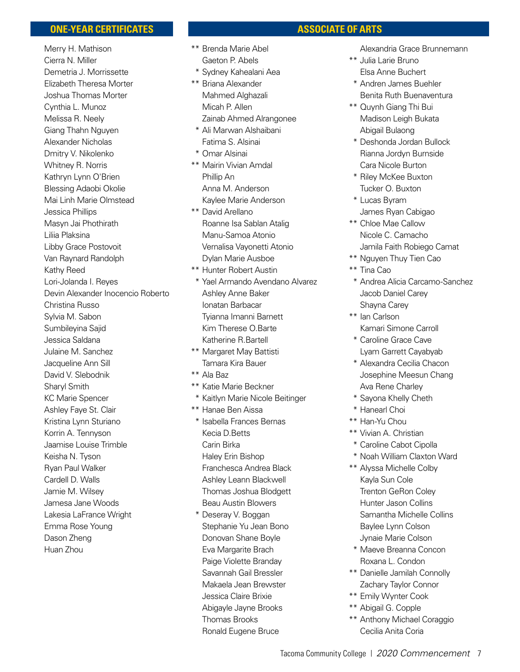#### **ONE-YEAR CERTIFICATES**

 Merry H. Mathison Cierra N. Miller Demetria J. Morrissette Elizabeth Theresa Morter Joshua Thomas Morter Cynthia L. Munoz Melissa R. Neely Giang Thahn Nguyen Alexander Nicholas Dmitry V. Nikolenko Whitney R. Norris Kathryn Lynn O'Brien Blessing Adaobi Okolie Mai Linh Marie Olmstead Jessica Phillips Masyn Jai Phothirath Liliia Plaksina Libby Grace Postovoit Van Raynard Randolph Kathy Reed Lori-Jolanda I. Reyes Devin Alexander Inocencio Roberto Christina Russo Sylvia M. Sabon Sumbileyina Sajid Jessica Saldana Julaine M. Sanchez Jacqueline Ann Sill David V. Slebodnik Sharyl Smith KC Marie Spencer Ashley Faye St. Clair Kristina Lynn Sturiano Korrin A. Tennyson Jaamise Louise Trimble Keisha N. Tyson Ryan Paul Walker Cardell D. Walls Jamie M. Wilsey Jamesa Jane Woods Lakesia LaFrance Wright Emma Rose Young Dason Zheng Huan Zhou

#### \*\* Brenda Marie Abel Gaeton P. Abels

- \* Sydney Kahealani Aea
- \*\* Briana Alexander Mahmed Alghazali Micah P. Allen Zainab Ahmed Alrangonee
- \* Ali Marwan Alshaibani Fatima S. Alsinai
- \* Omar Alsinai
- \*\* Mairin Vivian Amdal Phillip An Anna M. Anderson Kaylee Marie Anderson
- \*\* David Arellano Roanne Isa Sablan Atalig Manu-Samoa Atonio Vernalisa Vayonetti Atonio Dylan Marie Ausboe
- \*\* Hunter Robert Austin
- \* Yael Armando Avendano Alvarez Ashley Anne Baker Ionatan Barbacar Tyianna Imanni Barnett Kim Therese O.Barte Katherine R.Bartell
- \*\* Margaret May Battisti Tamara Kira Bauer
- \*\* Ala Baz
- \*\* Katie Marie Beckner
- \* Kaitlyn Marie Nicole Beitinger
- \*\* Hanae Ben Aissa
- \* Isabella Frances Bernas Kecia D.Betts Carin Birka Haley Erin Bishop Franchesca Andrea Black Ashley Leann Blackwell Thomas Joshua Blodgett Beau Austin Blowers
- \* Deseray V. Boggan Stephanie Yu Jean Bono Donovan Shane Boyle Eva Margarite Brach Paige Violette Branday Savannah Gail Bressler Makaela Jean Brewster Jessica Claire Brixie Abigayle Jayne Brooks Thomas Brooks Ronald Eugene Bruce

#### Alexandria Grace Brunnemann

\*\* Julia Larie Bruno Elsa Anne Buchert

 **ASSOCIATE OF ARTS**

- \* Andren James Buehler Benita Ruth Buenaventura
- \*\* Quynh Giang Thi Bui Madison Leigh Bukata Abigail Bulaong
- \* Deshonda Jordan Bullock Rianna Jordyn Burnside Cara Nicole Burton
- \* Riley McKee Buxton Tucker O. Buxton
- \* Lucas Byram James Ryan Cabigao
- \*\* Chloe Mae Callow Nicole C. Camacho Jamila Faith Robiego Camat
- \*\* Nguyen Thuy Tien Cao
- \*\* Tina Cao
	- \* Andrea Alicia Carcamo-Sanchez Jacob Daniel Carey Shayna Carey
- \*\* Ian Carlson Kamari Simone Carroll
- \* Caroline Grace Cave Lyam Garrett Cayabyab
- \* Alexandra Cecilia Chacon Josephine Meesun Chang Ava Rene Charley
- \* Sayona Khelly Cheth
- \* Hanearl Choi
- \*\* Han-Yu Chou
- \*\* Vivian A. Christian
- \* Caroline Cabot Cipolla
- \* Noah William Claxton Ward
- \*\* Alyssa Michelle Colby Kayla Sun Cole Trenton GeRon Coley Hunter Jason Collins Samantha Michelle Collins Baylee Lynn Colson Jynaie Marie Colson
- \* Maeve Breanna Concon Roxana L. Condon
- \*\* Danielle Jamilah Connolly Zachary Taylor Connor
- \*\* Emily Wynter Cook
- \*\* Abigail G. Copple
- \*\* Anthony Michael Coraggio Cecilia Anita Coria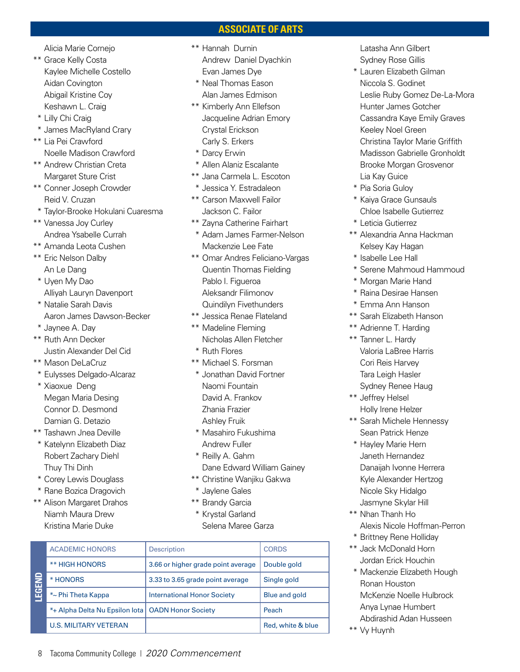#### **ASSOCIATE OF ARTS**

Alicia Marie Cornejo

- \*\* Grace Kelly Costa Kaylee Michelle Costello Aidan Covington Abigail Kristine Coy Keshawn L. Craig
- \* Lilly Chi Craig
- \* James MacRyland Crary
- \*\* Lia Pei Crawford Noelle Madison Crawford
- \*\* Andrew Christian Creta Margaret Sture Crist
- \*\* Conner Joseph Crowder Reid V. Cruzan
- \* Taylor-Brooke Hokulani Cuaresma
- \*\* Vanessa Joy Curley Andrea Ysabelle Currah
- \*\* Amanda Leota Cushen
- \*\* Eric Nelson Dalby An Le Dang
- \* Uyen My Dao Alliyah Lauryn Davenport
- \* Natalie Sarah Davis Aaron James Dawson-Becker
- \* Jaynee A. Day
- \*\* Ruth Ann Decker Justin Alexander Del Cid
- \*\* Mason DeLaCruz
- \* Eulysses Delgado-Alcaraz
- \* Xiaoxue Deng Megan Maria Desing Connor D. Desmond Damian G. Detazio
- \*\* Tashawn Jnea Deville
- \* Katelynn Elizabeth Diaz Robert Zachary Diehl Thuy Thi Dinh
- \* Corey Lewis Douglass
- \* Rane Bozica Dragovich
- \*\* Alison Margaret Drahos Niamh Maura Drew Kristina Marie Duke
- \*\* Hannah Durnin Andrew Daniel Dyachkin Evan James Dye
- \* Neal Thomas Eason Alan James Edmison
- \*\* Kimberly Ann Ellefson Jacqueline Adrian Emory Crystal Erickson Carly S. Erkers
- \* Darcy Erwin
- \* Allen Alaniz Escalante
- \*\* Jana Carmela L. Escoton
- \* Jessica Y. Estradaleon
- \*\* Carson Maxwell Failor Jackson C. Failor
- \*\* Zayna Catherine Fairhart
- \* Adam James Farmer-Nelson Mackenzie Lee Fate
- \*\* Omar Andres Feliciano-Vargas Quentin Thomas Fielding Pablo I. Figueroa Aleksandr Filimonov Quindilyn Fivethunders
- \*\* Jessica Renae Flateland
- \*\* Madeline Fleming Nicholas Allen Fletcher
- \* Ruth Flores
- \*\* Michael S. Forsman
- \* Jonathan David Fortner Naomi Fountain David A. Frankov Zhania Frazier Ashley Fruik
- \* Masahiro Fukushima Andrew Fuller
- \* Reilly A. Gahm Dane Edward William Gainey
- \*\* Christine Wanjiku Gakwa
- \* Jaylene Gales
- \*\* Brandy Garcia
- \* Krystal Garland Selena Maree Garza

| 을<br>田 | <b>ACADEMIC HONORS</b>                              | <b>Description</b>                 | <b>CORDS</b>         |
|--------|-----------------------------------------------------|------------------------------------|----------------------|
|        | <b>** HIGH HONORS</b>                               | 3.66 or higher grade point average | Double gold          |
|        | * HONORS                                            | 3.33 to 3.65 grade point average   | Single gold          |
|        | *~ Phi Theta Kappa                                  | <b>International Honor Society</b> | <b>Blue and gold</b> |
|        | *+ Alpha Delta Nu Epsilon lota   OADN Honor Society |                                    | Peach                |
|        | <b>U.S. MILITARY VETERAN</b>                        |                                    | Red, white & blue    |

 Latasha Ann Gilbert Sydney Rose Gillis

- \* Lauren Elizabeth Gilman Niccola S. Godinet Leslie Ruby Gomez De-La-Mora Hunter James Gotcher Cassandra Kaye Emily Graves Keeley Noel Green Christina Taylor Marie Griffith Madisson Gabrielle Gronholdt Brooke Morgan Grosvenor Lia Kay Guice
- \* Pia Soria Guloy
- \* Kaiya Grace Gunsauls Chloe Isabelle Gutierrez
- \* Leticia Gutierrez
- \*\* Alexandria Anna Hackman Kelsey Kay Hagan
- \* Isabelle Lee Hall
- \* Serene Mahmoud Hammoud
- \* Morgan Marie Hand
- \* Raina Desirae Hansen
- \* Emma Ann Hanson
- \*\* Sarah Elizabeth Hanson
- \*\* Adrienne T. Harding
- \*\* Tanner L. Hardy Valoria LaBree Harris Cori Reis Harvey **Tara Leigh Hasler** Sydney Renee Haug
- \*\* Jeffrey Helsel Holly Irene Helzer
- \*\* Sarah Michele Hennessy Sean Patrick Henze
- \* Hayley Marie Hern Janeth Hernandez Danaijah Ivonne Herrera Kyle Alexander Hertzog Nicole Sky Hidalgo Jasmyne Skylar Hill
- \*\* Nhan Thanh Ho Alexis Nicole Hoffman-Perron
- \* Brittney Rene Holliday
- \*\* Jack McDonald Horn Jordan Erick Houchin
- \* Mackenzie Elizabeth Hough Ronan Houston McKenzie Noelle Hulbrock Anya Lynae Humbert Abdirashid Adan Husseen
- \*\* Vy Huynh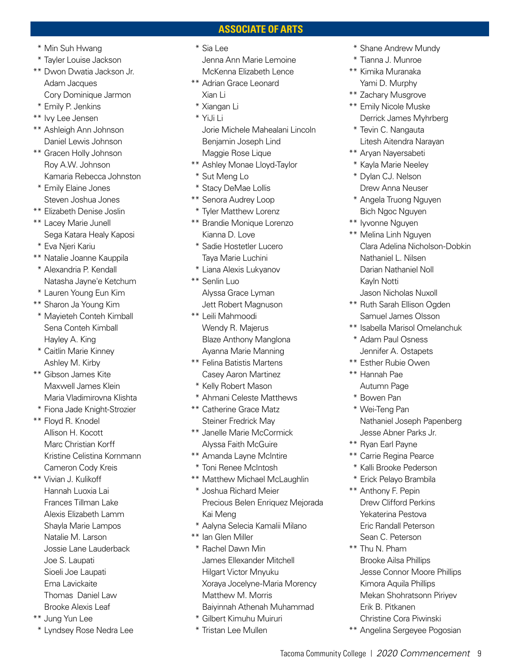#### **ASSOCIATE OF ARTS**

- \* Min Suh Hwang
- \* Tayler Louise Jackson
- \*\* Dwon Dwatia Jackson Jr. Adam Jacques Cory Dominique Jarmon
- \* Emily P. Jenkins
- \*\* Ivy Lee Jensen
- \*\* Ashleigh Ann Johnson Daniel Lewis Johnson
- \*\* Gracen Holly Johnson Roy A.W. Johnson Kamaria Rebecca Johnston
- \* Emily Elaine Jones Steven Joshua Jones
- \*\* Elizabeth Denise Joslin
- \*\* Lacey Marie Junell Sega Katara Healy Kaposi
- \* Eva Njeri Kariu
- \*\* Natalie Joanne Kauppila
- \* Alexandria P. Kendall Natasha Jayne'e Ketchum
- \* Lauren Young Eun Kim
- \*\* Sharon Ja Young Kim
- \* Mayieteh Conteh Kimball Sena Conteh Kimball Hayley A. King
- \* Caitlin Marie Kinney Ashley M. Kirby
- \*\* Gibson James Kite Maxwell James Klein Maria Vladimirovna Klishta
- \* Fiona Jade Knight-Strozier
- \*\* Floyd R. Knodel Allison H. Kocott Marc Christian Korff Kristine Celistina Kornmann Cameron Cody Kreis
- \*\* Vivian J. Kulikoff Hannah Luoxia Lai Frances Tillman Lake Alexis Elizabeth Lamm Shayla Marie Lampos Natalie M. Larson Jossie Lane Lauderback Joe S. Laupati Sioeli Joe Laupati Ema Lavickaite Thomas Daniel Law Brooke Alexis Leaf
- \*\* Jung Yun Lee
- \* Lyndsey Rose Nedra Lee
- \* Sia Lee Jenna Ann Marie Lemoine McKenna Elizabeth Lence
- \*\* Adrian Grace Leonard Xian Li
- \* Xiangan Li
- \* YiJi Li
- Jorie Michele Mahealani Lincoln Benjamin Joseph Lind Maggie Rose Lique
- \*\* Ashley Monae Lloyd-Taylor \* Sut Meng Lo
- \* Stacy DeMae Lollis
- \*\* Senora Audrey Loop
- \* Tyler Matthew Lorenz
- \*\* Brandie Monique Lorenzo Kianna D. Love
- \* Sadie Hostetler Lucero Taya Marie Luchini
- \* Liana Alexis Lukyanov
- \*\* Senlin Luo Alyssa Grace Lyman Jett Robert Magnuson
- \*\* Leili Mahmoodi Wendy R. Majerus Blaze Anthony Manglona Ayanna Marie Manning
- \*\* Felina Batistis Martens Casey Aaron Martinez
- \* Kelly Robert Mason
- \* Ahmani Celeste Matthews
- \*\* Catherine Grace Matz Steiner Fredrick May
- \*\* Janelle Marie McCormick Alyssa Faith McGuire
- \*\* Amanda Layne McIntire
- \* Toni Renee McIntosh
- \*\* Matthew Michael McLaughlin
- \* Joshua Richard Meier Precious Belen Enriquez Mejorada Kai Meng
- \* Aalyna Selecia Kamalii Milano
- \*\* Ian Glen Miller
- \* Rachel Dawn Min James Ellexander Mitchell Hilgart Victor Mnyuku Xoraya Jocelyne-Maria Morency Matthew M. Morris Baiyinnah Athenah Muhammad
- \* Gilbert Kimuhu Muiruri
- \* Tristan Lee Mullen
- \* Shane Andrew Mundy
- \* Tianna J. Munroe
- \*\* Kimika Muranaka Yami D. Murphy
- \*\* Zachary Musgrove \*\* Emily Nicole Muske Derrick James Myhrberg
- \* Tevin C. Nangauta Litesh Aitendra Narayan
- \*\* Aryan Nayersabeti
- \* Kayla Marie Neeley \* Dylan CJ. Nelson Drew Anna Neuser
- \* Angela Truong Nguyen Bich Ngoc Nguyen
- \*\* Iyvonne Nguyen
- \*\* Melina Linh Nguyen Clara Adelina Nicholson-Dobkin Nathaniel L. Nilsen Darian Nathaniel Noll Kayln Notti Jason Nicholas Nuxoll
- \*\* Ruth Sarah Ellison Ogden Samuel James Olsson
- \*\* Isabella Marisol Omelanchuk
- \* Adam Paul Osness Jennifer A. Ostapets
- \*\* Esther Rubie Owen
- \*\* Hannah Pae Autumn Page
- \* Bowen Pan
- \* Wei-Teng Pan Nathaniel Joseph Papenberg Jesse Abner Parks Jr.
- \*\* Ryan Earl Payne
- \*\* Carrie Regina Pearce
- \* Kalli Brooke Pederson
- \* Erick Pelayo Brambila
- \*\* Anthony F. Pepin Drew Clifford Perkins Yekaterina Pestova Eric Randall Peterson Sean C. Peterson
- \*\* Thu N. Pham Brooke Ailsa Phillips Jesse Connor Moore Phillips Kimora Aquila Phillips Mekan Shohratsonn Piriyev Erik B. Pitkanen Christine Cora Piwinski
- \*\* Angelina Sergeyee Pogosian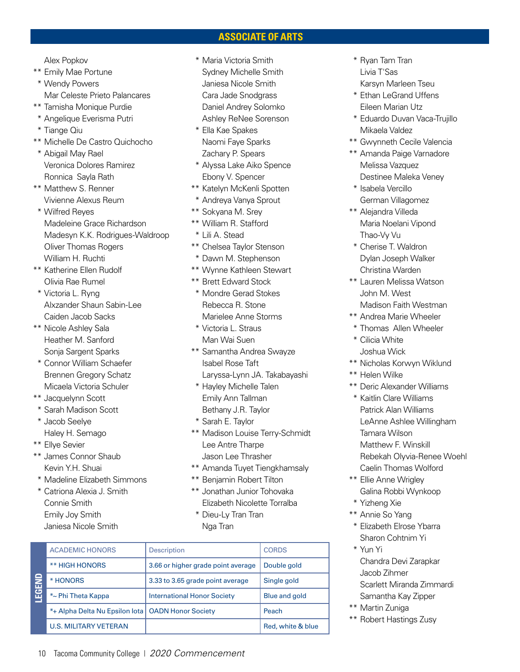#### **ASSOCIATE OF ARTS**

Alex Popkov

- \*\* Emily Mae Portune
- \* Wendy Powers Mar Celeste Prieto Palancares
- \*\* Tamisha Monique Purdie
- \* Angelique Everisma Putri
- \* Tiange Qiu
- \*\* Michelle De Castro Quichocho
- \* Abigail May Rael Veronica Dolores Ramirez Ronnica Sayla Rath
- \*\* Matthew S. Renner Vivienne Alexus Reum
- \* Wilfred Reyes Madeleine Grace Richardson Madesyn K.K. Rodrigues-Waldroop Oliver Thomas Rogers William H. Ruchti
- \*\* Katherine Ellen Rudolf Olivia Rae Rumel
- \* Victoria L. Ryng Alxzander Shaun Sabin-Lee Caiden Jacob Sacks
- \*\* Nicole Ashley Sala Heather M. Sanford Sonja Sargent Sparks
- \* Connor William Schaefer Brennen Gregory Schatz Micaela Victoria Schuler
- \*\* Jacquelynn Scott
- \* Sarah Madison Scott
- \* Jacob Seelye
- Haley H. Semago \*\* Ellye Sevier
- \*\* James Connor Shaub Kevin Y.H. Shuai
- \* Madeline Elizabeth Simmons
- \* Catriona Alexia J. Smith Connie Smith Emily Joy Smith Janiesa Nicole Smith
- \* Maria Victoria Smith Sydney Michelle Smith Janiesa Nicole Smith Cara Jade Snodgrass Daniel Andrey Solomko Ashley ReNee Sorenson
- \* Ella Kae Spakes Naomi Faye Sparks Zachary P. Spears
- \* Alyssa Lake Aiko Spence Ebony V. Spencer
- \*\* Katelyn McKenli Spotten
- \* Andreya Vanya Sprout
- \*\* Sokyana M. Srey
- \*\* William R. Stafford
- \* Lili A. Stead
- \*\* Chelsea Taylor Stenson
- \* Dawn M. Stephenson
- \*\* Wynne Kathleen Stewart
- \*\* Brett Edward Stock
- \* Mondre Gerad Stokes Rebecca R. Stone Marielee Anne Storms
- \* Victoria L. Straus Man Wai Suen
- \*\* Samantha Andrea Swayze Isabel Rose Taft Laryssa-Lynn JA. Takabayashi
- \* Hayley Michelle Talen Emily Ann Tallman
- Bethany J.R. Taylor
- \* Sarah E. Taylor
- \*\* Madison Louise Terry-Schmidt Lee Antre Tharpe Jason Lee Thrasher
- \*\* Amanda Tuyet Tiengkhamsaly
- \*\* Benjamin Robert Tilton
- \*\* Jonathan Junior Tohovaka Elizabeth Nicolette Torralba
- \* Dieu-Ly Tran Tran Nga Tran

| Egend | <b>ACADEMIC HONORS</b>         | <b>Description</b>                 | <b>CORDS</b>         |
|-------|--------------------------------|------------------------------------|----------------------|
|       | <b>** HIGH HONORS</b>          | 3.66 or higher grade point average | Double gold          |
|       | * HONORS                       | 3.33 to 3.65 grade point average   | Single gold          |
|       | *~ Phi Theta Kappa             | <b>International Honor Society</b> | <b>Blue and gold</b> |
|       | *+ Alpha Delta Nu Epsilon lota | <b>OADN Honor Society</b>          | Peach                |
|       | <b>U.S. MILITARY VETERAN</b>   |                                    | Red, white & blue    |

- \* Ryan Tam Tran Livia T'Sas Karsyn Marleen Tseu
- \* Ethan LeGrand Uffens Eileen Marian Utz
- \* Eduardo Duvan Vaca-Trujillo Mikaela Valdez
- \*\* Gwynneth Cecile Valencia
- \*\* Amanda Paige Varnadore Melissa Vazquez Destinee Maleka Veney
- \* Isabela Vercillo German Villagomez
- \*\* Alejandra Villeda Maria Noelani Vipond Thao-Vy Vu
- \* Cherise T. Waldron Dylan Joseph Walker Christina Warden
- \*\* Lauren Melissa Watson John M. West Madison Faith Westman
- \*\* Andrea Marie Wheeler
- \* Thomas Allen Wheeler
- \* Cilicia White Joshua Wick
- \*\* Nicholas Korwyn Wiklund
- \*\* Helen Wilke
- \*\* Deric Alexander Williams
- \* Kaitlin Clare Williams Patrick Alan Williams LeAnne Ashlee Willingham Tamara Wilson Matthew F. Winskill Rebekah Olyvia-Renee Woehl Caelin Thomas Wolford
- \*\* Ellie Anne Wrigley Galina Robbi Wynkoop
- \* Yizheng Xie
- \*\* Annie So Yang
- \* Elizabeth Elrose Ybarra Sharon Cohtnim Yi
- \* Yun Yi Chandra Devi Zarapkar Jacob Zihmer Scarlett Miranda Zimmardi Samantha Kay Zipper
- \*\* Martin Zuniga
- \*\* Robert Hastings Zusy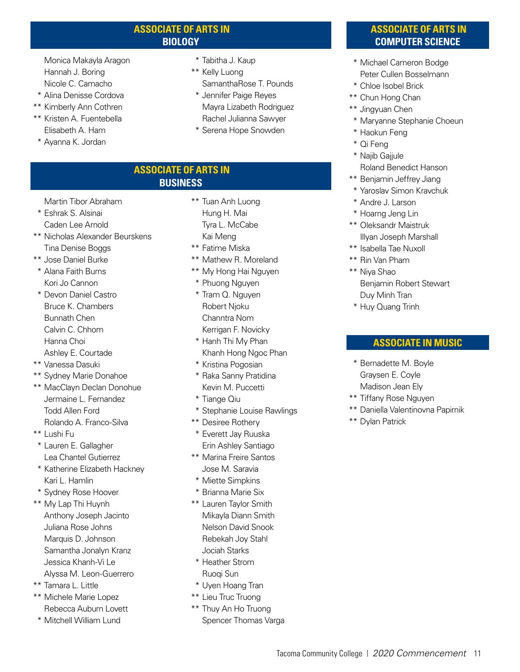#### **ASSOCIATE OF ARTS IN BIOLOGY**

 Monica Makayla Aragon Hannah J. Boring Nicole C. Camacho

- \* Alina Denisse Cordova
- \*\* Kimberly Ann Cothren
- \*\* Kristen A. Fuentebella Elisabeth A. Ham
- \* Ayanna K. Jordan
- \* Tabitha J. Kaup
- \*\* Kelly Luong SamanthaRose T. Pounds
- \* Jennifer Paige Reyes Mayra Lizabeth Rodriguez Rachel Julianna Sawyer
- \* Serena Hope Snowden

#### **ASSOCIATE OF ARTS IN BUSINESS**

Martin Tibor Abraham

- \* Eshrak S. Alsinai Caden Lee Arnold
- \*\* Nicholas Alexander Beurskens Tina Denise Boggs
- \*\* Jose Daniel Burke
- \* Alana Faith Burns Kori Jo Cannon
- \* Devon Daniel Castro Bruce K. Chambers Bunnath Chen Calvin C. Chhom Hanna Choi Ashley E. Courtade
- \*\* Vanessa Dasuki
- \*\* Sydney Marie Donahoe
- \*\* MacClayn Declan Donohue Jermaine L. Fernandez Todd Allen Ford Rolando A. Franco-Silva
- \*\* Lushi Fu
- \* Lauren E. Gallagher Lea Chantel Gutierrez
- \* Katherine Elizabeth Hackney Kari L. Hamlin
- \* Sydney Rose Hoover
- \*\* My Lap Thi Huynh Anthony Joseph Jacinto Juliana Rose Johns Marquis D. Johnson Samantha Jonalyn Kranz Jessica Khanh-Vi Le Alyssa M. Leon-Guerrero
- 
- \*\* Tamara L. Little
- \*\* Michele Marie Lopez Rebecca Auburn Lovett
- \* Mitchell William Lund
- \*\* Tuan Anh Luong Hung H. Mai Tyra L. McCabe Kai Meng
- \*\* Fatime Miska
- \*\* Mathew R. Moreland
- \*\* My Hong Hai Nguyen
- \* Phuong Nguyen
- \* Tram Q. Nguyen Robert Njoku Channtra Nom Kerrigan F. Novicky
- \* Hanh Thi My Phan Khanh Hong Ngoc Phan
- \* Kristina Pogosian
- \* Raka Sanny Pratidina Kevin M. Puccetti
- \* Tiange Qiu
- \* Stephanie Louise Rawlings
- \*\* Desiree Rothery
- \* Everett Jay Ruuska Erin Ashley Santiago
- \*\* Marina Freire Santos Jose M. Saravia
- \* Miette Simpkins
- \* Brianna Marie Six
- \*\* Lauren Taylor Smith Mikayla Diann Smith Nelson David Snook Rebekah Joy Stahl Jociah Starks
- \* Heather Strom Ruoqi Sun
- \* Uyen Hoang Tran
- \*\* Lieu Truc Truong
- \*\* Thuy An Ho Truong Spencer Thomas Varga

#### **ASSOCIATE OF ARTS IN COMPUTER SCIENCE**

- \* Michael Cameron Bodge Peter Cullen Bosselmann
- \* Chloe Isobel Brick
- \*\* Chun Hong Chan
- \*\* Jingyuan Chen
- \* Maryanne Stephanie Choeun
- \* Haokun Feng
- \* Qi Feng
- \* Najib Gajjule
- Roland Benedict Hanson
- \*\* Benjamin Jeffrey Jiang
- \* Yaroslav Simon Kravchuk
- \* Andre J. Larson
- \* Hoarng Jeng Lin
- \*\* Oleksandr Maistruk Illyan Joseph Marshall
- \*\* Isabella Tae Nuxoll
- \*\* Rin Van Pham
- \*\* Niya Shao Benjamin Robert Stewart Duy Minh Tran
- \* Huy Quang Trinh

#### **ASSOCIATE IN MUSIC**

- \* Bernadette M. Boyle Graysen E. Coyle Madison Jean Ely
- \*\* Tiffany Rose Nguyen
- \*\* Daniella Valentinovna Papirnik
- \*\* Dylan Patrick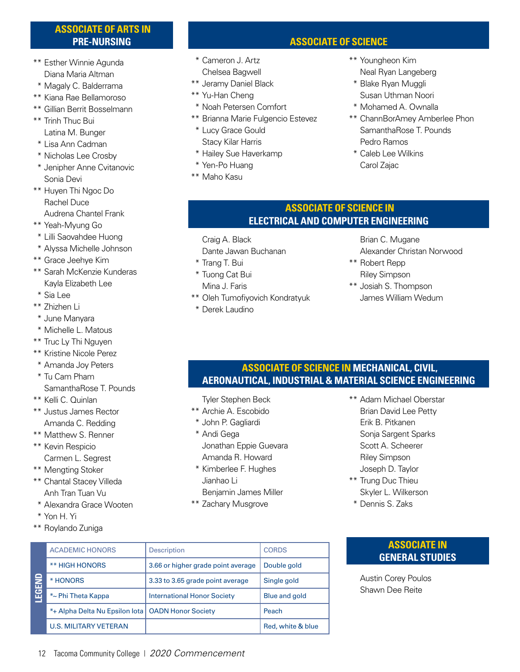#### **ASSOCIATE OF ARTS IN PRE-NURSING**

- \*\* Esther Winnie Agunda Diana Maria Altman
- \* Magaly C. Balderrama
- \*\* Kiana Rae Bellamoroso
- \*\* Gillian Berrit Bosselmann
- \*\* Trinh Thuc Bui Latina M. Bunger
- \* Lisa Ann Cadman
- \* Nicholas Lee Crosby
- \* Jenipher Anne Cvitanovic Sonia Devi
- \*\* Huyen Thi Ngoc Do Rachel Duce Audrena Chantel Frank
- \*\* Yeah-Myung Go
- \* Lilli Saovahdee Huong
- \* Alyssa Michelle Johnson
- \*\* Grace Jeehye Kim
- \*\* Sarah McKenzie Kunderas Kayla Elizabeth Lee
- \* Sia Lee
- \*\* Zhizhen Li
- \* June Manyara
- \* Michelle L. Matous
- \*\* Truc Ly Thi Nguyen
- \*\* Kristine Nicole Perez
- \* Amanda Joy Peters
- \* Tu Cam Pham SamanthaRose T. Pounds
- \*\* Kelli C. Quinlan
- \*\* Justus James Rector Amanda C. Redding
- \*\* Matthew S. Renner
- \*\* Kevin Respicio Carmen L. Segrest
- \*\* Mengting Stoker
- \*\* Chantal Stacey Villeda Anh Tran Tuan Vu
- \* Alexandra Grace Wooten
- \* Yon H. Yi
- \*\* Roylando Zuniga

### **ASSOCIATE OF SCIENCE**

- \* Cameron J. Artz Chelsea Bagwell
- \*\* Jeramy Daniel Black
- \*\* Yu-Han Cheng
- \* Noah Petersen Comfort
- \*\* Brianna Marie Fulgencio Estevez
- \* Lucy Grace Gould Stacy Kilar Harris
- \* Hailey Sue Haverkamp
- \* Yen-Po Huang
- \*\* Maho Kasu
- \*\* Youngheon Kim Neal Ryan Langeberg
- \* Blake Ryan Muggli Susan Uthman Noori
- \* Mohamed A. Ownalla
- \*\* ChannBorAmey Amberlee Phon SamanthaRose T. Pounds Pedro Ramos
- \* Caleb Lee Wilkins Carol Zajac

#### **ASSOCIATE OF SCIENCE IN ELECTRICAL AND COMPUTER ENGINEERING**

Craig A. Black

- Dante Jawan Buchanan
- \* Trang T. Bui
- \* Tuong Cat Bui
- Mina J. Faris
- \*\* Oleh Tumofiyovich Kondratyuk
- \* Derek Laudino

Brian C. Mugane

- Alexander Christan Norwood \*\* Robert Repp
	- Riley Simpson
- \*\* Josiah S. Thompson James William Wedum

#### **ASSOCIATE OF SCIENCE IN MECHANICAL, CIVIL, AERONAUTICAL, INDUSTRIAL & MATERIAL SCIENCE ENGINEERING**

Tyler Stephen Beck

- \*\* Archie A. Escobido
- \* John P. Gagliardi
- \* Andi Gega Jonathan Eppie Guevara Amanda R. Howard
- \* Kimberlee F. Hughes Jianhao Li Benjamin James Miller
- \*\* Zachary Musgrove
- \*\* Adam Michael Oberstar Brian David Lee Petty Erik B. Pitkanen Sonja Sargent Sparks Scott A. Scheerer Riley Simpson Joseph D. Taylor
- \*\* Trung Duc Thieu Skyler L. Wilkerson
- \* Dennis S. Zaks

# ACADEMIC HONORS Description Description \*\* HIGH HONORS  $\vert$  3.66 or higher grade point average Double gold \* HONORS  $\vert$  3.33 to 3.65 grade point average  $\vert$  Single gold \*~ Phi Theta Kappa International Honor Society Blue and gold  $*$ + Alpha Delta Nu Epsilon Iota OADN Honor Society Peach U.S. MILITARY VETERAN Red, white & blue

#### **ASSOCIATE IN GENERAL STUDIES**

 Austin Corey Poulos Shawn Dee Reite

**LEGEND**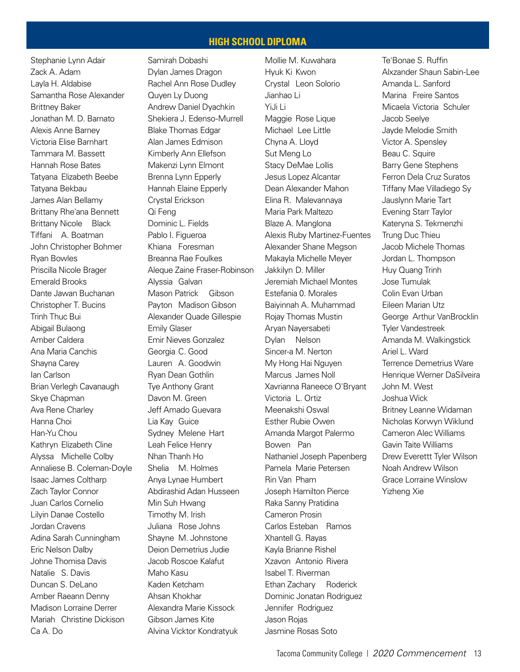#### **HIGH SCHOOL DIPLOMA**

Stephanie Lynn Adair Zack A. Adam Layla H. Aldabise Samantha Rose Alexander Brittney Baker Jonathan M. D. Barnato Alexis Anne Barney Victoria Elise Barnhart Tammara M. Bassett Hannah Rose Bates Tatyana Elizabeth Beebe Tatyana Bekbau James Alan Bellamy Brittany Rhe'ana Bennett Brittany Nicole Black Tiffani A. Boatman John Christopher Bohmer Ryan Bowles Priscilla Nicole Brager Emerald Brooks Dante Jawan Buchanan Christopher T. Bucins Trinh Thuc Bui Abigail Bulaong Amber Caldera Ana Maria Canchis Shayna Carey Ian Carlson Brian Verlegh Cavanaugh Skye Chapman Ava Rene Charley Hanna Choi Han-Yu Chou Kathryn Elizabeth Cline Alyssa Michelle Colby Annaliese B. Coleman-Doyle Isaac James Coltharp Zach Taylor Connor Juan Carlos Cornelio Lilyin Danae Costello Jordan Cravens Adina Sarah Cunningham Eric Nelson Dalby Johne Thomisa Davis Natalie S. Davis Duncan S. DeLano Amber Raeann Denny Madison Lorraine Derrer Mariah Christine Dickison Ca A. Do

Samirah Dobashi Dylan James Dragon Rachel Ann Rose Dudley Quyen Ly Duong Andrew Daniel Dyachkin Shekiera J. Edenso-Murrell Blake Thomas Edgar Alan James Edmison Kimberly Ann Ellefson Makenzi Lynn Elmont Brenna Lynn Epperly Hannah Elaine Epperly Crystal Erickson Qi Feng Dominic L. Fields Pablo I. Figueroa Khiana Foresman Breanna Rae Foulkes Aleque Zaine Fraser-Robinson Alyssia Galvan Mason Patrick Gibson Payton Madison Gibson Alexander Quade Gillespie Emily Glaser Emir Nieves Gonzalez Georgia C. Good Lauren A. Goodwin Ryan Dean Gothlin Tye Anthony Grant Davon M. Green Jeff Amado Guevara Lia Kay Guice Sydney Melene Hart Leah Felice Henry Nhan Thanh Ho Shelia M. Holmes Anya Lynae Humbert Abdirashid Adan Husseen Min Suh Hwang Timothy M. Irish Juliana Rose Johns Shayne M. Johnstone Deion Demetrius Judie Jacob Roscoe Kalafut Maho Kasu Kaden Ketcham Ahsan Khokhar Alexandra Marie Kissock Gibson James Kite Alvina Vicktor Kondratyuk

Mollie M. Kuwahara Hyuk Ki Kwon Crystal Leon Solorio Jianhao Li YiJi Li Maggie Rose Lique Michael Lee Little Chyna A. Lloyd Sut Meng Lo Stacy DeMae Lollis Jesus Lopez Alcantar Dean Alexander Mahon Elina R. Malevannaya Maria Park Maltezo Blaze A. Manglona Alexis Ruby Martinez-Fuentes Alexander Shane Megson Makayla Michelle Meyer Jakkilyn D. Miller Jeremiah Michael Montes Estefania 0. Morales Baiyinnah A. Muhammad Rojay Thomas Mustin Aryan Nayersabeti Dylan Nelson Sincer-a M. Nerton My Hong Hai Nguyen Marcus James Noll Xavrianna Raneece O'Bryant Victoria L. Ortiz Meenakshi Oswal Esther Rubie Owen Amanda Margot Palermo Bowen Pan Nathaniel Joseph Papenberg Pamela Marie Petersen Rin Van Pham Joseph Hamilton Pierce Raka Sanny Pratidina Cameron Prosin Carlos Esteban Ramos Xhantell G. Rayas Kayla Brianne Rishel Xzavon Antonio Rivera Isabel T. Riverman Ethan Zachary Roderick Dominic Jonatan Rodriguez Jennifer Rodriguez Jason Rojas Jasmine Rosas Soto

Te'Bonae S. Ruffin Alxzander Shaun Sabin-Lee Amanda L. Sanford Marina Freire Santos Micaela Victoria Schuler Jacob Seelye Jayde Melodie Smith Victor A. Spensley Beau C. Squire Barry Gene Stephens Ferron Dela Cruz Suratos Tiffany Mae Villadiego Sy Jauslynn Marie Tart Evening Starr Taylor Kateryna S. Tekmenzhi Trung Duc Thieu Jacob Michele Thomas Jordan L. Thompson Huy Quang Trinh Jose Tumulak Colin Evan Urban Eileen Marian Utz George Arthur VanBrocklin Tyler Vandestreek Amanda M. Walkingstick Ariel L. Ward Terrence Demetrius Ware Henrique Werner DaSilveira John M. West Joshua Wick Britney Leanne Widaman Nicholas Korwyn Wiklund Cameron Alec Williams Gavin Taite Williams Drew Everettt Tyler Wilson Noah Andrew Wilson Grace Lorraine Winslow Yizheng Xie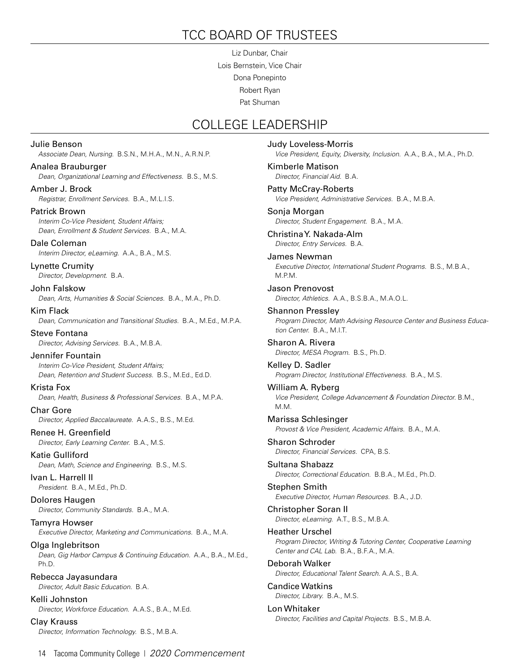# TCC BOARD OF TRUSTEES

Liz Dunbar, Chair Lois Bernstein, Vice Chair Dona Ponepinto Robert Ryan Pat Shuman

## COLLEGE LEADERSHIP

Julie Benson *Associate Dean, Nursing.* B.S.N., M.H.A., M.N., A.R.N.P. Analea Brauburger *Dean, Organizational Learning and Effectiveness.* B.S., M.S. Amber J. Brock *Registrar, Enrollment Services.* B.A., M.L.I.S. Patrick Brown *Interim Co-Vice President, Student Affairs; Dean, Enrollment & Student Services.* B.A., M.A. Dale Coleman *Interim Director, eLearning.* A.A., B.A., M.S. Lynette Crumity *Director, Development.* B.A. John Falskow *Dean, Arts, Humanities & Social Sciences.* B.A., M.A., Ph.D. Kim Flack *Dean, Communication and Transitional Studies.* B.A., M.Ed., M.P.A. Steve Fontana *Director, Advising Services.* B.A., M.B.A. Jennifer Fountain *Interim Co-Vice President, Student Affairs; Dean, Retention and Student Success.* B.S., M.Ed., Ed.D. Krista Fox *Dean, Health, Business & Professional Services.* B.A., M.P.A. Char Gore *Director, Applied Baccalaureate.* A.A.S., B.S., M.Ed. Renee H. Greenfield *Director, Early Learning Center.* B.A., M.S. Katie Gulliford *Dean, Math, Science and Engineering.* B.S., M.S. Ivan L. Harrell II *President.* B.A., M.Ed., Ph.D. Dolores Haugen *Director, Community Standards.* B.A., M.A. Tamyra Howser *Executive Director, Marketing and Communications.* B.A., M.A. Olga Inglebritson *Dean, Gig Harbor Campus & Continuing Education.* A.A., B.A., M.Ed., Ph.D. Rebecca Jayasundara *Director, Adult Basic Education.* B.A. Kelli Johnston *Director, Workforce Education.* A.A.S., B.A., M.Ed. Clay Krauss

Judy Loveless-Morris *Vice President, Equity, Diversity, Inclusion.* A.A., B.A., M.A., Ph.D. Kimberle Matison *Director, Financial Aid.* B.A. Patty McCray-Roberts *Vice President, Administrative Services.* B.A., M.B.A. Sonja Morgan *Director, Student Engagement.* B.A., M.A. Christina Y. Nakada-Alm *Director, Entry Services.* B.A. James Newman *Executive Director, International Student Programs.* B.S., M.B.A., M.P.M. Jason Prenovost *Director, Athletics.* A.A., B.S.B.A., M.A.O.L. Shannon Pressley *Program Director, Math Advising Resource Center and Business Education Center.* B.A., M.I.T. Sharon A. Rivera *Director, MESA Program.* B.S., Ph.D. Kelley D. Sadler *Program Director, Institutional Effectiveness.* B.A., M.S. William A. Ryberg *Vice President, College Advancement & Foundation Director.* B.M., M.M. Marissa Schlesinger *Provost & Vice President, Academic Affairs.* B.A., M.A. Sharon Schroder *Director, Financial Services.* CPA, B.S. Sultana Shabazz *Director, Correctional Education.* B.B.A., M.Ed., Ph.D. Stephen Smith *Executive Director, Human Resources.* B.A., J.D. Christopher Soran II *Director, eLearning.* A.T., B.S., M.B.A. Heather Urschel *Program Director, Writing & Tutoring Center, Cooperative Learning Center and CAL Lab.* B.A., B.F.A., M.A. Deborah Walker *Director, Educational Talent Search.* A.A.S., B.A. Candice Watkins *Director, Library.* B.A., M.S. Lon Whitaker *Director, Facilities and Capital Projects.* B.S., M.B.A.

*Director, Information Technology.* B.S., M.B.A.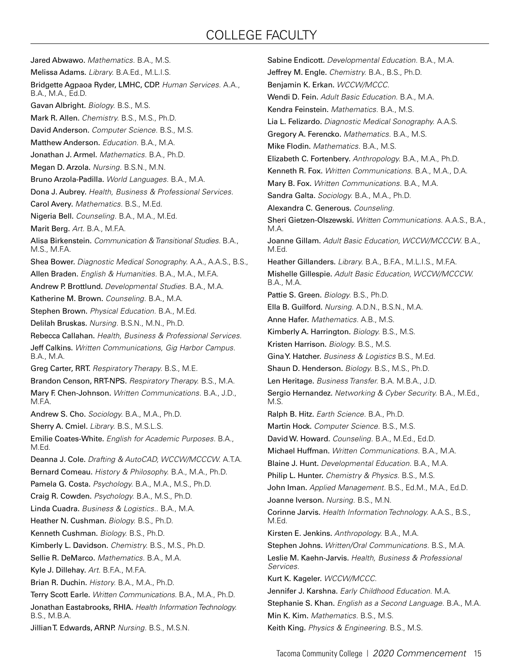## COLLEGE FACULTY

Jared Abwawo. *Mathematics.* B.A., M.S. Melissa Adams. *Library.* B.A.Ed., M.L.I.S. Bridgette Agpaoa Ryder, LMHC, CDP. *Human Services.* A.A., B.A., M.A., Ed.D. Gavan Albright. *Biology.* B.S., M.S. Mark R. Allen. *Chemistry.* B.S., M.S., Ph.D. David Anderson. *Computer Science.* B.S., M.S. Matthew Anderson. *Education.* B.A., M.A. Jonathan J. Armel. *Mathematics.* B.A., Ph.D. Megan D. Arzola. *Nursing.* B.S.N., M.N. Bruno Arzola-Padilla. *World Languages.* B.A., M.A. Dona J. Aubrey. *Health, Business & Professional Services.* Carol Avery. *Mathematics.* B.S., M.Ed. Nigeria Bell. *Counseling.* B.A., M.A., M.Ed. Marit Berg. *Art.* B.A., M.F.A. Alisa Birkenstein. *Communication & Transitional Studies.* B.A., M.S., M.F.A. Shea Bower. *Diagnostic Medical Sonography.* A.A., A.A.S., B.S., Allen Braden. *English & Humanities.* B.A., M.A., M.F.A. Andrew P. Brottlund. *Developmental Studies.* B.A., M.A. Katherine M. Brown. *Counseling.* B.A., M.A. Stephen Brown. *Physical Education.* B.A., M.Ed. Delilah Bruskas. *Nursing.* B.S.N., M.N., Ph.D. Rebecca Callahan. *Health, Business & Professional Services.* Jeff Calkins. *Written Communications, Gig Harbor Campus.*  B.A., M.A. Greg Carter, RRT. *Respiratory Therapy.* B.S., M.E. Brandon Censon, RRT-NPS. *Respiratory Therapy.* B.S., M.A. Mary F. Chen-Johnson. *Written Communications.* B.A., J.D., M.F.A. Andrew S. Cho. *Sociology.* B.A., M.A., Ph.D. Sherry A. Cmiel. *Library.* B.S., M.S.L.S. Emilie Coates-White. *English for Academic Purposes.* B.A., M.Ed. Deanna J. Cole. *Drafting & AutoCAD, WCCW/MCCCW.* A.T.A. Bernard Comeau. *History & Philosophy.* B.A., M.A., Ph.D. Pamela G. Costa. *Psychology.* B.A., M.A., M.S., Ph.D. Craig R. Cowden. *Psychology.* B.A., M.S., Ph.D. Linda Cuadra. *Business & Logistics..* B.A., M.A. Heather N. Cushman. *Biology.* B.S., Ph.D. Kenneth Cushman. *Biology.* B.S., Ph.D. Kimberly L. Davidson. *Chemistry.* B.S., M.S., Ph.D. Sellie R. DeMarco. *Mathematics.* B.A., M.A. Kyle J. Dillehay. *Art.* B.F.A., M.F.A. Brian R. Duchin. *History.* B.A., M.A., Ph.D. Terry Scott Earle. *Written Communications.* B.A., M.A., Ph.D. Jonathan Eastabrooks, RHIA. *Health Information Technology.*  B.S., M.B.A. Jillian T. Edwards, ARNP. *Nursing.* B.S., M.S.N.

Sabine Endicott. *Developmental Education.* B.A., M.A. Jeffrey M. Engle. *Chemistry.* B.A., B.S., Ph.D. Benjamin K. Erkan. *WCCW/MCCC.*  Wendi D. Fein. *Adult Basic Education.* B.A., M.A. Kendra Feinstein. *Mathematics.* B.A., M.S. Lia L. Felizardo. *Diagnostic Medical Sonography.* A.A.S. Gregory A. Ferencko. *Mathematics.* B.A., M.S. Mike Flodin. *Mathematics.* B.A., M.S. Elizabeth C. Fortenbery. *Anthropology.* B.A., M.A., Ph.D. Kenneth R. Fox. *Written Communications.* B.A., M.A., D.A. Mary B. Fox. *Written Communications.* B.A., M.A. Sandra Galta. *Sociology.* B.A., M.A., Ph.D. Alexandra C. Generous. *Counseling.* Sheri Gietzen-Olszewski. *Written Communications.* A.A.S., B.A., M.A. Joanne Gillam. *Adult Basic Education, WCCW/MCCCW.* B.A., M.Ed. Heather Gillanders. *Library.* B.A., B.F.A., M.L.I.S., M.F.A. Mishelle Gillespie. *Adult Basic Education, WCCW/MCCCW.*  B.A., M.A. Pattie S. Green. *Biology.* B.S., Ph.D. Ella B. Guilford. *Nursing.* A.D.N., B.S.N., M.A. Anne Hafer. *Mathematics.* A.B., M.S. Kimberly A. Harrington. *Biology.* B.S., M.S. Kristen Harrison. *Biology.* B.S., M.S. Gina Y. Hatcher. *Business & Logistics* B.S., M.Ed. Shaun D. Henderson. *Biology.* B.S., M.S., Ph.D. Len Heritage. *Business Transfer.* B.A. M.B.A., J.D. Sergio Hernandez. *Networking & Cyber Security.* B.A., M.Ed., M.S. Ralph B. Hitz. *Earth Science.* B.A., Ph.D. Martin Hock. *Computer Science.* B.S., M.S. David W. Howard. *Counseling.* B.A., M.Ed., Ed.D. Michael Huffman. *Written Communications.* B.A., M.A. Blaine J. Hunt. *Developmental Education.* B.A., M.A. Philip L. Hunter. *Chemistry & Physics.* B.S., M.S. John Iman. *Applied Management.* B.S., Ed.M., M.A., Ed.D. Joanne Iverson. *Nursing.* B.S., M.N. Corinne Jarvis. *Health Information Technology.* A.A.S., B.S., M.Ed. Kirsten E. Jenkins. *Anthropology.* B.A., M.A. Stephen Johns. *Written/Oral Communications.* B.S., M.A. Leslie M. Kaehn-Jarvis. *Health, Business & Professional Services.* Kurt K. Kageler. *WCCW/MCCC.* Jennifer J. Karshna. *Early Childhood Education.* M.A. Stephanie S. Khan. *English as a Second Language.* B.A., M.A. Min K. Kim. *Mathematics.* B.S., M.S. Keith King. *Physics & Engineering.* B.S., M.S.